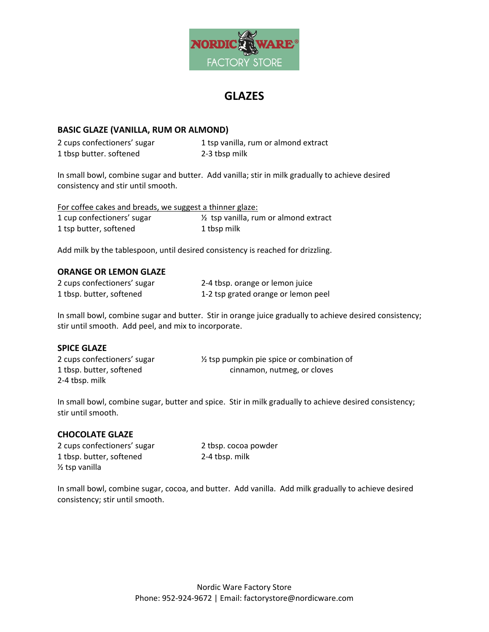

# **GLAZES**

# **BASIC GLAZE (VANILLA, RUM OR ALMOND)**

2 cups confectioners' sugar 1 tsp vanilla, rum or almond extract 1 tbsp butter. softened 2-3 tbsp milk

In small bowl, combine sugar and butter. Add vanilla; stir in milk gradually to achieve desired consistency and stir until smooth.

| For coffee cakes and breads, we suggest a thinner glaze: |                                                  |
|----------------------------------------------------------|--------------------------------------------------|
| 1 cup confectioners' sugar                               | $\frac{1}{2}$ tsp vanilla, rum or almond extract |
| 1 tsp butter, softened                                   | 1 tbsp milk                                      |

Add milk by the tablespoon, until desired consistency is reached for drizzling.

## **ORANGE OR LEMON GLAZE**

| 2 cups confectioners' sugar | 2-4 tbsp. orange or lemon juice     |
|-----------------------------|-------------------------------------|
| 1 tbsp. butter, softened    | 1-2 tsp grated orange or lemon peel |

In small bowl, combine sugar and butter. Stir in orange juice gradually to achieve desired consistency; stir until smooth. Add peel, and mix to incorporate.

#### **SPICE GLAZE**

| 2 cups confectioners' sugar | 1/2 tsp pumpkin pie spice or combination of |
|-----------------------------|---------------------------------------------|
| 1 tbsp. butter, softened    | cinnamon, nutmeg, or cloves                 |
| 2-4 tbsp. milk              |                                             |

In small bowl, combine sugar, butter and spice. Stir in milk gradually to achieve desired consistency; stir until smooth.

## **CHOCOLATE GLAZE**

2 cups confectioners' sugar 2 tbsp. cocoa powder 1 tbsp. butter, softened 2-4 tbsp. milk ½ tsp vanilla

In small bowl, combine sugar, cocoa, and butter. Add vanilla. Add milk gradually to achieve desired consistency; stir until smooth.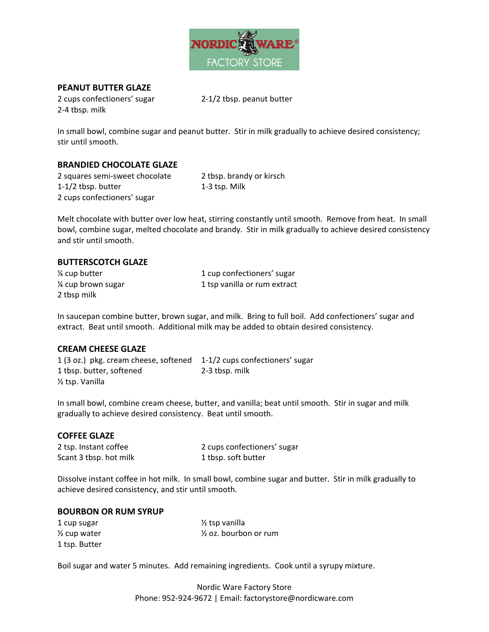

# **PEANUT BUTTER GLAZE**

2 cups confectioners' sugar 2-1/2 tbsp. peanut butter 2-4 tbsp. milk

In small bowl, combine sugar and peanut butter. Stir in milk gradually to achieve desired consistency; stir until smooth.

# **BRANDIED CHOCOLATE GLAZE**

2 squares semi-sweet chocolate 2 tbsp. brandy or kirsch 1-1/2 tbsp. butter 1-3 tsp. Milk 2 cups confectioners' sugar

Melt chocolate with butter over low heat, stirring constantly until smooth. Remove from heat. In small bowl, combine sugar, melted chocolate and brandy. Stir in milk gradually to achieve desired consistency and stir until smooth.

#### **BUTTERSCOTCH GLAZE**

2 tbsp milk

¼ cup butter 1 cup confectioners' sugar % cup brown sugar 1 tsp vanilla or rum extract

In saucepan combine butter, brown sugar, and milk. Bring to full boil. Add confectioners' sugar and extract. Beat until smooth. Additional milk may be added to obtain desired consistency.

## **CREAM CHEESE GLAZE**

1 (3 oz.) pkg. cream cheese, softened 1-1/2 cups confectioners' sugar 1 tbsp. butter, softened 2-3 tbsp. milk ½ tsp. Vanilla

In small bowl, combine cream cheese, butter, and vanilla; beat until smooth. Stir in sugar and milk gradually to achieve desired consistency. Beat until smooth.

#### **COFFEE GLAZE**

Scant 3 tbsp. hot milk 1 tbsp. soft butter

2 tsp. Instant coffee 2 cups confectioners' sugar

Dissolve instant coffee in hot milk. In small bowl, combine sugar and butter. Stir in milk gradually to achieve desired consistency, and stir until smooth.

#### **BOURBON OR RUM SYRUP**

| 1 cup sugar             | 1/ <sub>2</sub> tsp vanilla      |
|-------------------------|----------------------------------|
| $\frac{1}{2}$ cup water | $\frac{1}{2}$ oz. bourbon or rum |
| 1 tsp. Butter           |                                  |

Boil sugar and water 5 minutes. Add remaining ingredients. Cook until a syrupy mixture.